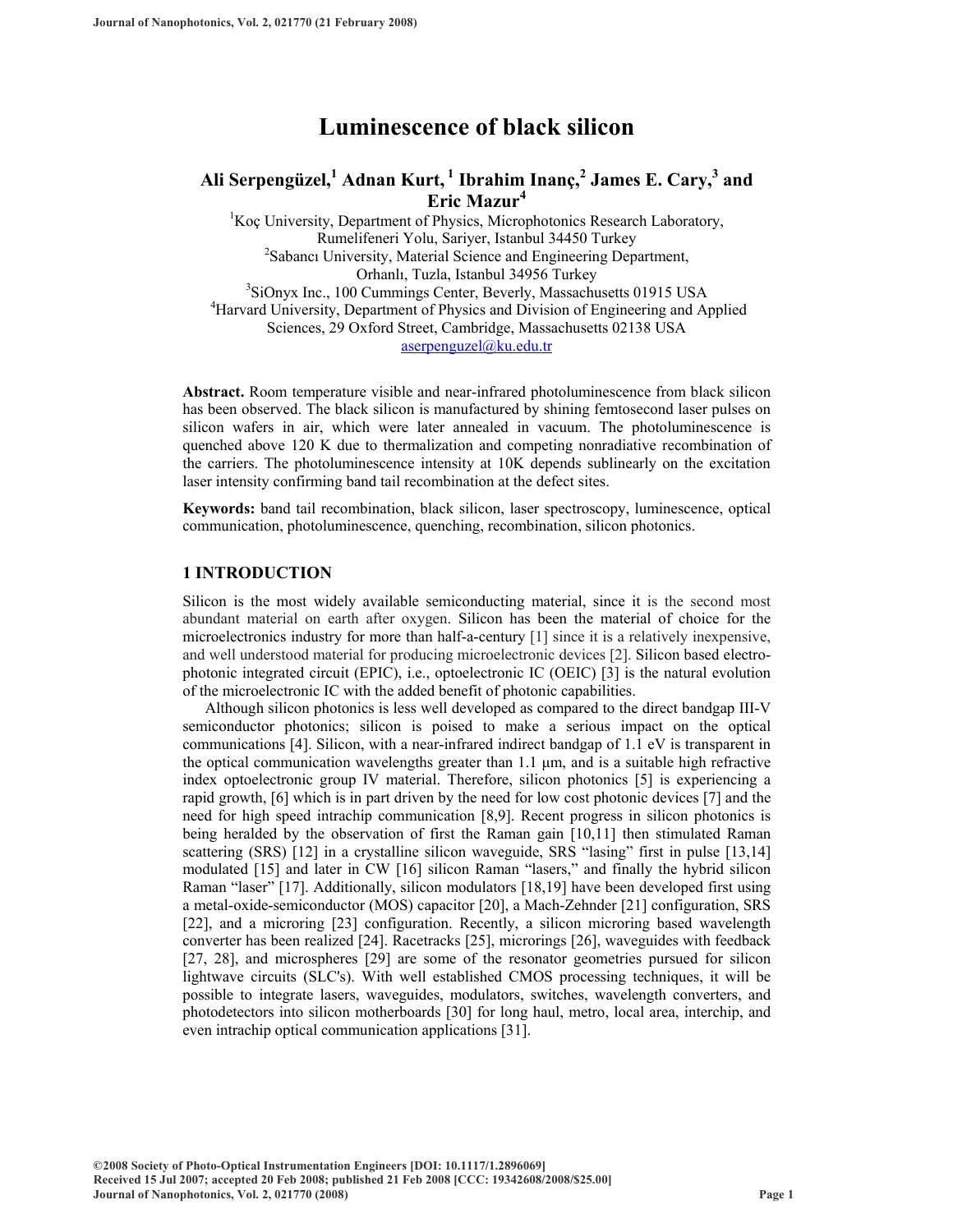# **Luminescence of black silicon**

# Ali Serpengüzel, <sup>1</sup> Adnan Kurt, <sup>1</sup> Ibrahim Inanç, <sup>2</sup> James E. Cary, <sup>3</sup> and **Eric Mazur<sup>4</sup>**

<sup>1</sup>Koç University, Department of Physics, Microphotonics Research Laboratory, Rumelifeneri Yolu, Sariyer, Istanbul 34450 Turkey 2 <sup>2</sup>Sabancı University, Material Science and Engineering Department, Orhanlı, Tuzla, Istanbul 34956 Turkey 3 <sup>3</sup>SiOnyx Inc., 100 Cummings Center, Beverly, Massachusetts 01915 USA <sup>4</sup>Harvard University, Department of Physics and Division of Engineering and Applied Sciences, 29 Oxford Street, Cambridge, Massachusetts 02138 USA [aserpenguzel@ku.edu.tr](mailto:aserpenguzel@ku.edu.tr)

**Abstract.** Room temperature visible and near-infrared photoluminescence from black silicon has been observed. The black silicon is manufactured by shining femtosecond laser pulses on silicon wafers in air, which were later annealed in vacuum. The photoluminescence is quenched above 120 K due to thermalization and competing nonradiative recombination of the carriers. The photoluminescence intensity at 10K depends sublinearly on the excitation laser intensity confirming band tail recombination at the defect sites.

**Keywords:** band tail recombination, black silicon, laser spectroscopy, luminescence, optical communication, photoluminescence, quenching, recombination, silicon photonics.

# **1 INTRODUCTION**

Silicon is the most widely available semiconducting material, since it is the second most abundant material on earth after oxygen. Silicon has been the material of choice for the microelectronics industry for more than half-a-century [[1\]](#page-6-0) since it is a relatively inexpensive, and well understood material for producing microelectronic devices [\[2\]](#page-6-1). Silicon based electrophotonic integrated circuit (EPIC), i.e., optoelectronic IC (OEIC) [\[3\]](#page-6-2) is the natural evolution of the microelectronic IC with the added benefit of photonic capabilities.

Although silicon photonics is less well developed as compared to the direct bandgap III-V semiconductor photonics; silicon is poised to make a serious impact on the optical communications [\[4\]](#page-6-3). Silicon, with a near-infrared indirect bandgap of 1.1 eV is transparent in the optical communication wavelengths greater than  $1.1 \mu m$ , and is a suitable high refractive index optoelectronic group IV material. Therefore, silicon photonics [\[5\]](#page-6-4) is experiencing a rapid growth, [\[6\]](#page-6-5) which is in part driven by the need for low cost photonic devices [\[7\]](#page-6-6) and the need for high speed intrachip communication [\[8,](#page-6-7)[9\]](#page-6-8). Recent progress in silicon photonics is being heralded by the observation of first the Raman gain [[10](#page-6-9)[,11](#page-6-10)] then stimulated Raman scattering (SRS) [\[12\]](#page-6-11) in a crystalline silicon waveguide, SRS "lasing" first in pulse [[13,](#page-6-12)[14\]](#page-6-13) modulated [[15\]](#page-6-14) and later in CW [\[16\]](#page-6-15) silicon Raman "lasers," and finally the hybrid silicon Raman "laser" [\[17\]](#page-6-16). Additionally, silicon modulators [\[18](#page-6-17)[,19](#page-6-18)] have been developed first using a metal-oxide-semiconductor (MOS) capacitor [\[20\]](#page-6-19), a Mach-Zehnder [\[21](#page-6-20)] configuration, SRS [\[22\]](#page-6-21), and a microring [\[23](#page-6-22)] configuration. Recently, a silicon microring based wavelength converter has been realized [\[24\]](#page-6-23). Racetracks [\[25](#page-6-24)], microrings [\[26](#page-6-25)], waveguides with feedback [\[27,](#page-6-26) [28\]](#page-6-27), and microspheres [\[29](#page-6-28)] are some of the resonator geometries pursued for silicon lightwave circuits (SLC's). With well established CMOS processing techniques, it will be possible to integrate lasers, waveguides, modulators, switches, wavelength converters, and photodetectors into silicon motherboards [[30\]](#page-6-29) for long haul, metro, local area, interchip, and even intrachip optical communication applications [\[31\]](#page-6-30).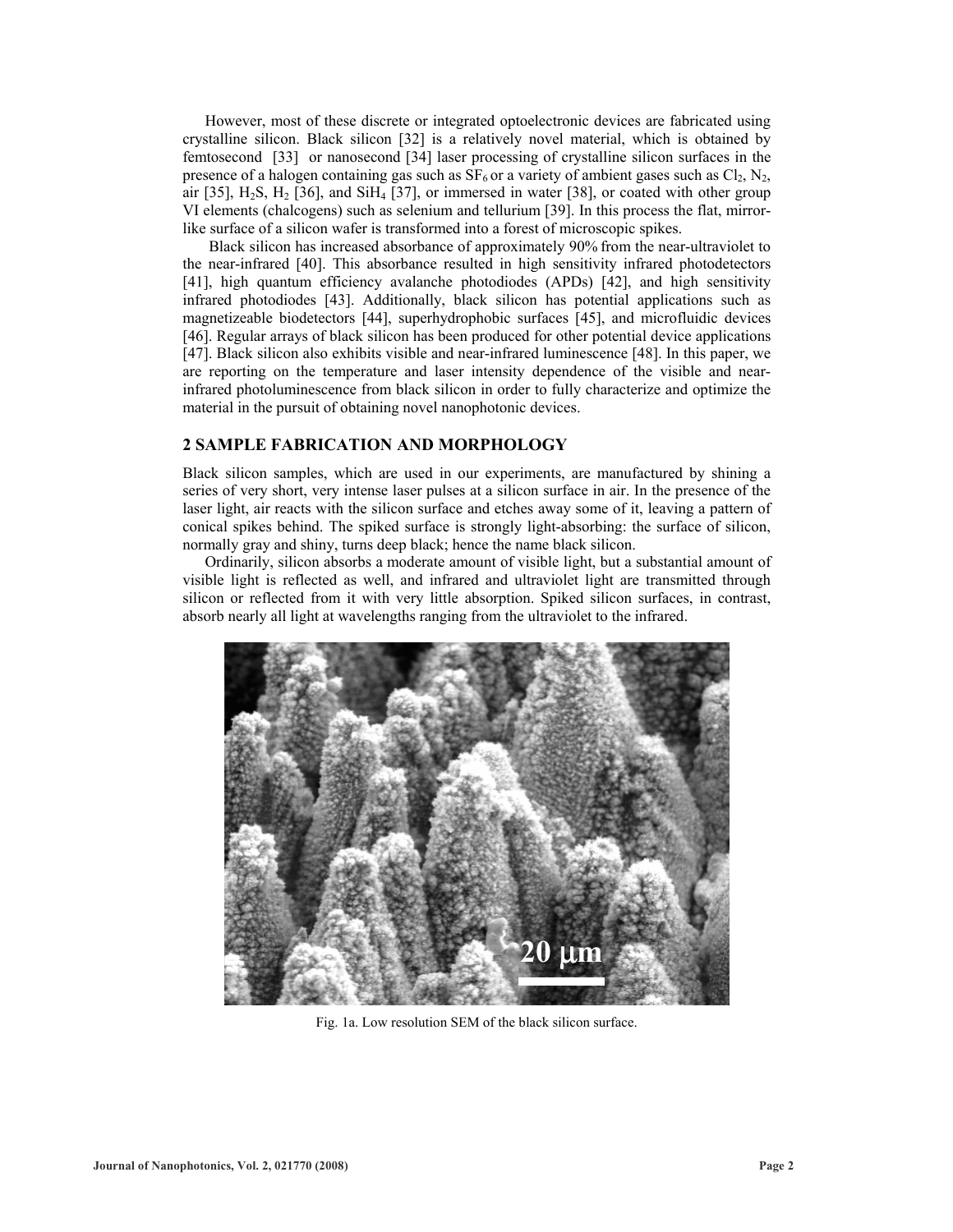However, most of these discrete or integrated optoelectronic devices are fabricated using crystalline silicon. Black silicon [[32\]](#page-6-31) is a relatively novel material, which is obtained by femtosecond [[33\]](#page-6-32) or nanosecond [\[34](#page-6-33)] laser processing of crystalline silicon surfaces in the presence of a halogen containing gas such as  $SF_6$  or a variety of ambient gases such as  $Cl_2$ , N<sub>2</sub>, air [\[35\]](#page-6-34),  $H_2S$ ,  $H_2$  [\[36](#page-6-35)], and Si $H_4$  [\[37](#page-6-36)], or immersed in water [\[38](#page-6-37)], or coated with other group VI elements (chalcogens) such as selenium and tellurium [\[39\]](#page-6-38). In this process the flat, mirrorlike surface of a silicon wafer is transformed into a forest of microscopic spikes.

 Black silicon has increased absorbance of approximately 90% from the near-ultraviolet to the near-infrared [[40\]](#page-6-39). This absorbance resulted in high sensitivity infrared photodetectors [\[41\]](#page-6-40), high quantum efficiency avalanche photodiodes (APDs) [\[42](#page-6-41)], and high sensitivity infrared photodiodes [[43\]](#page-6-42). Additionally, black silicon has potential applications such as magnetizeable biodetectors [[44\]](#page-6-43), superhydrophobic surfaces [\[45](#page-6-44)], and microfluidic devices [\[46\]](#page-6-45). Regular arrays of black silicon has been produced for other potential device applications [\[47\]](#page-6-46). Black silicon also exhibits visible and near-infrared luminescence [\[48](#page-6-47)]. In this paper, we are reporting on the temperature and laser intensity dependence of the visible and nearinfrared photoluminescence from black silicon in order to fully characterize and optimize the material in the pursuit of obtaining novel nanophotonic devices.

# **2 SAMPLE FABRICATION AND MORPHOLOGY**

Black silicon samples, which are used in our experiments, are manufactured by shining a series of very short, very intense laser pulses at a silicon surface in air. In the presence of the laser light, air reacts with the silicon surface and etches away some of it, leaving a pattern of conical spikes behind. The spiked surface is strongly light-absorbing: the surface of silicon, normally gray and shiny, turns deep black; hence the name black silicon.

Ordinarily, silicon absorbs a moderate amount of visible light, but a substantial amount of visible light is reflected as well, and infrared and ultraviolet light are transmitted through silicon or reflected from it with very little absorption. Spiked silicon surfaces, in contrast, absorb nearly all light at wavelengths ranging from the ultraviolet to the infrared.



Fig. 1a. Low resolution SEM of the black silicon surface.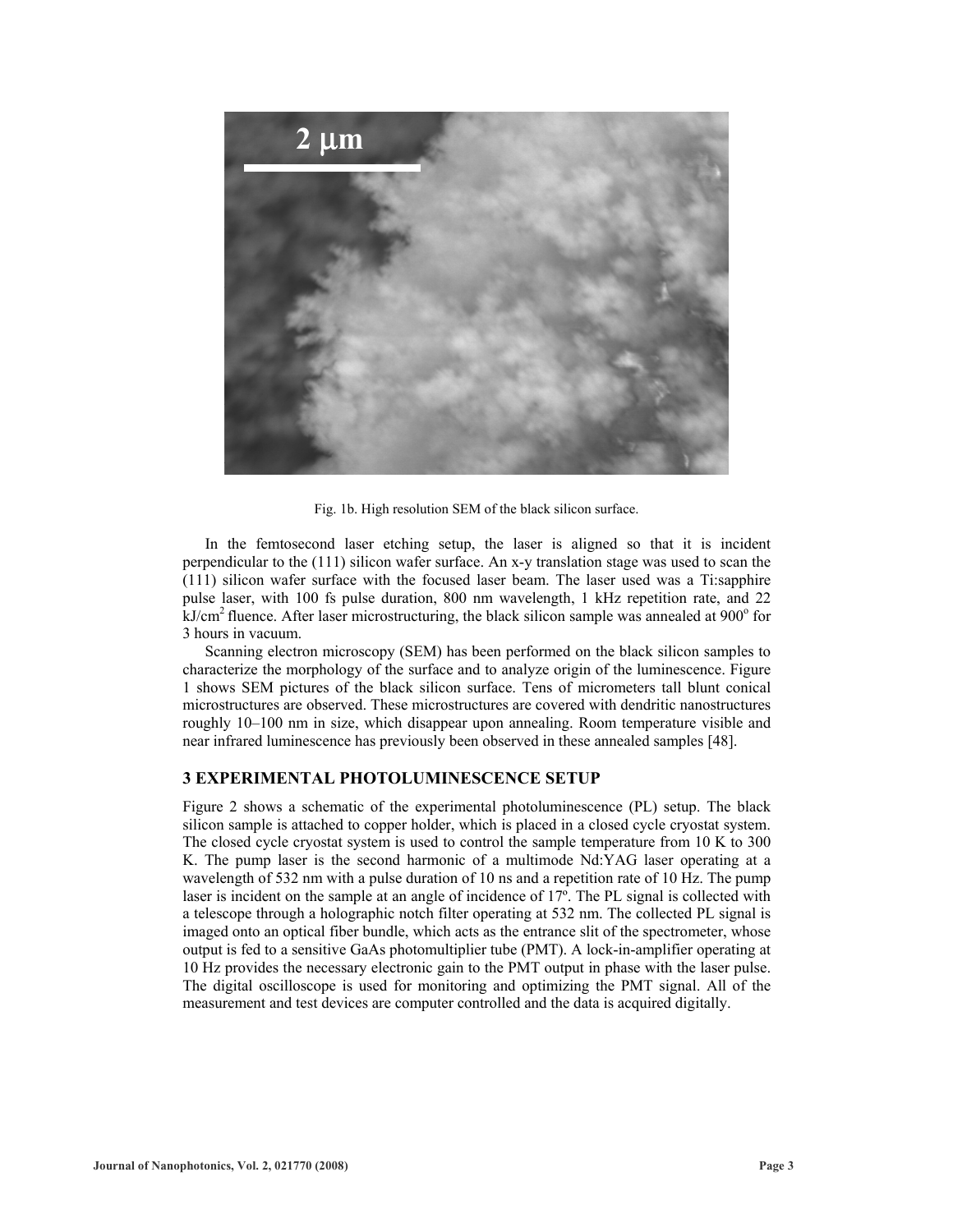

Fig. 1b. High resolution SEM of the black silicon surface.

In the femtosecond laser etching setup, the laser is aligned so that it is incident perpendicular to the (111) silicon wafer surface. An x-y translation stage was used to scan the (111) silicon wafer surface with the focused laser beam. The laser used was a Ti:sapphire pulse laser, with 100 fs pulse duration, 800 nm wavelength, 1 kHz repetition rate, and 22  $k$ J/cm<sup>2</sup> fluence. After laser microstructuring, the black silicon sample was annealed at 900 $^{\circ}$  for 3 hours in vacuum.

Scanning electron microscopy (SEM) has been performed on the black silicon samples to characterize the morphology of the surface and to analyze origin of the luminescence. Figure 1 shows SEM pictures of the black silicon surface. Tens of micrometers tall blunt conical microstructures are observed. These microstructures are covered with dendritic nanostructures roughly 10–100 nm in size, which disappear upon annealing. Room temperature visible and near infrared luminescence has previously been observed in these annealed samples [48].

# **3 EXPERIMENTAL PHOTOLUMINESCENCE SETUP**

Figure 2 shows a schematic of the experimental photoluminescence (PL) setup. The black silicon sample is attached to copper holder, which is placed in a closed cycle cryostat system. The closed cycle cryostat system is used to control the sample temperature from 10 K to 300 K. The pump laser is the second harmonic of a multimode Nd:YAG laser operating at a wavelength of 532 nm with a pulse duration of 10 ns and a repetition rate of 10 Hz. The pump laser is incident on the sample at an angle of incidence of 17º. The PL signal is collected with a telescope through a holographic notch filter operating at 532 nm. The collected PL signal is imaged onto an optical fiber bundle, which acts as the entrance slit of the spectrometer, whose output is fed to a sensitive GaAs photomultiplier tube (PMT). A lock-in-amplifier operating at 10 Hz provides the necessary electronic gain to the PMT output in phase with the laser pulse. The digital oscilloscope is used for monitoring and optimizing the PMT signal. All of the measurement and test devices are computer controlled and the data is acquired digitally.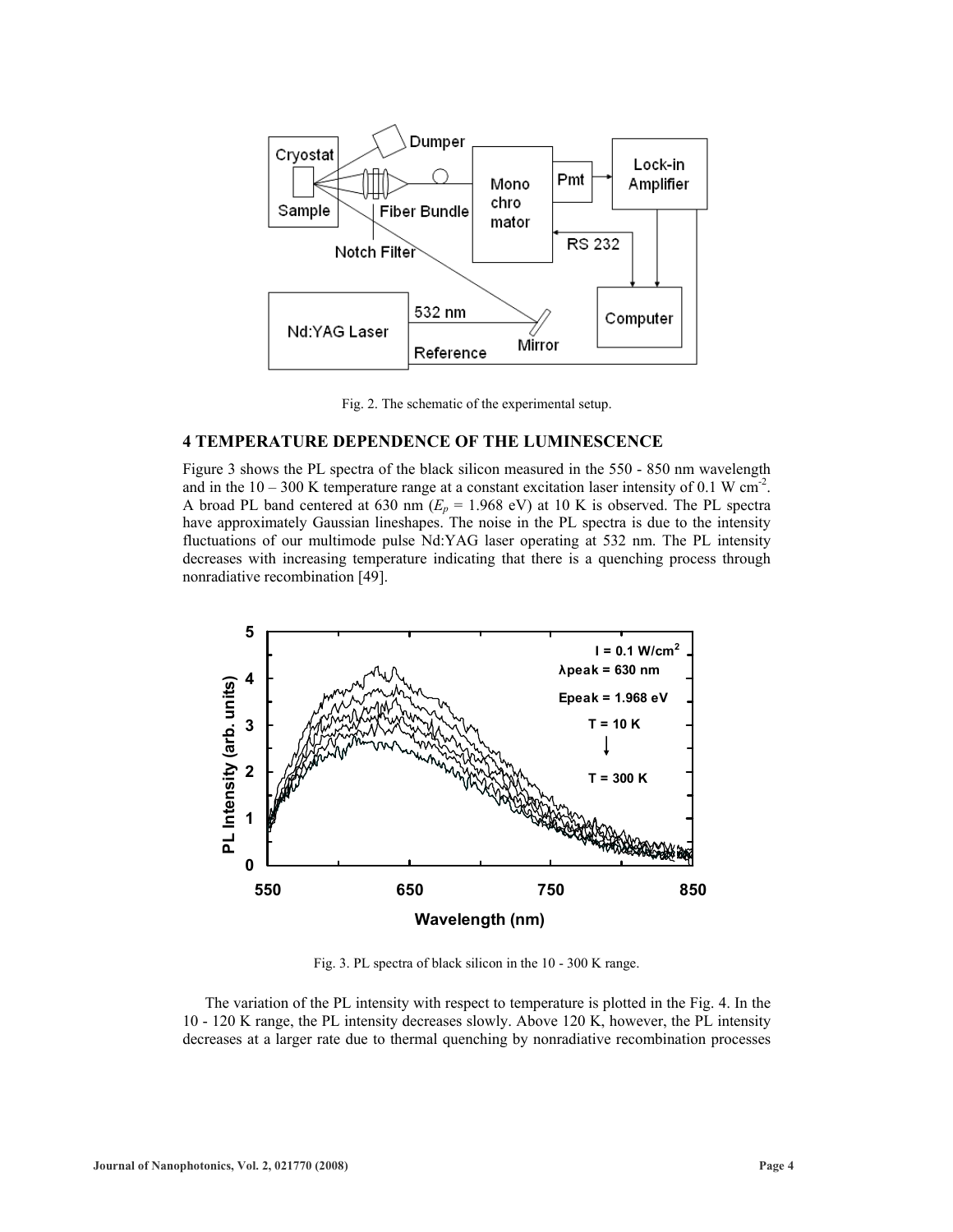

Fig. 2. The schematic of the experimental setup.

#### **4 TEMPERATURE DEPENDENCE OF THE LUMINESCENCE**

Figure 3 shows the PL spectra of the black silicon measured in the 550 - 850 nm wavelength and in the  $10 - 300$  K temperature range at a constant excitation laser intensity of 0.1 W cm<sup>-2</sup>. A broad PL band centered at 630 nm  $(E_p = 1.968 \text{ eV})$  at 10 K is observed. The PL spectra have approximately Gaussian lineshapes. The noise in the PL spectra is due to the intensity fluctuations of our multimode pulse Nd:YAG laser operating at 532 nm. The PL intensity decreases with increasing temperature indicating that there is a quenching process through nonradiative recombination [\[49\]](#page-6-48).



Fig. 3. PL spectra of black silicon in the 10 - 300 K range.

The variation of the PL intensity with respect to temperature is plotted in the Fig. 4. In the 10 - 120 K range, the PL intensity decreases slowly. Above 120 K, however, the PL intensity decreases at a larger rate due to thermal quenching by nonradiative recombination processes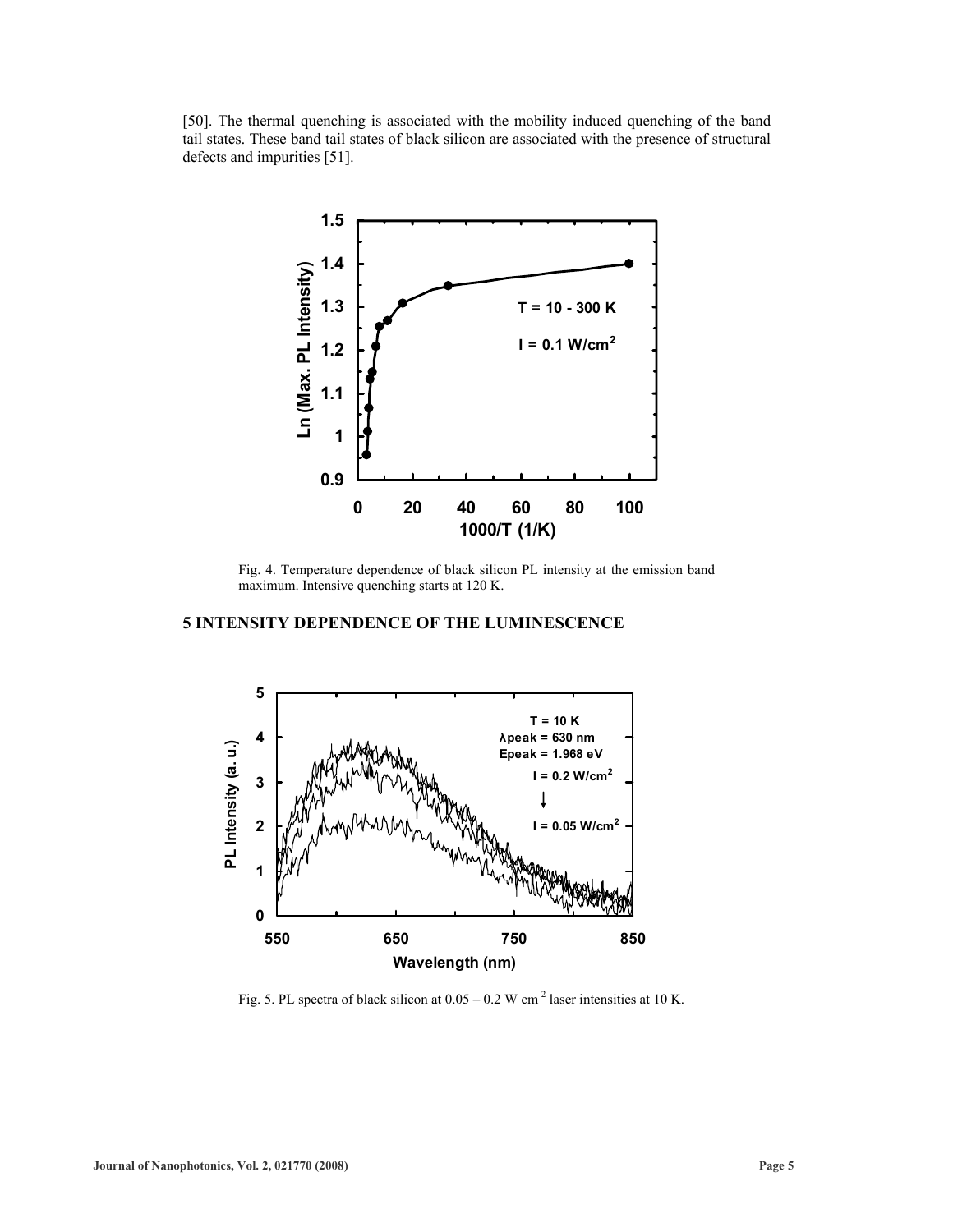[\[50\]](#page-6-49). The thermal quenching is associated with the mobility induced quenching of the band tail states. These band tail states of black silicon are associated with the presence of structural defects and impurities [[51\]](#page-6-50).



Fig. 4. Temperature dependence of black silicon PL intensity at the emission band maximum. Intensive quenching starts at 120 K.

# **5 INTENSITY DEPENDENCE OF THE LUMINESCENCE**



Fig. 5. PL spectra of black silicon at  $0.05 - 0.2$  W cm<sup>-2</sup> laser intensities at 10 K.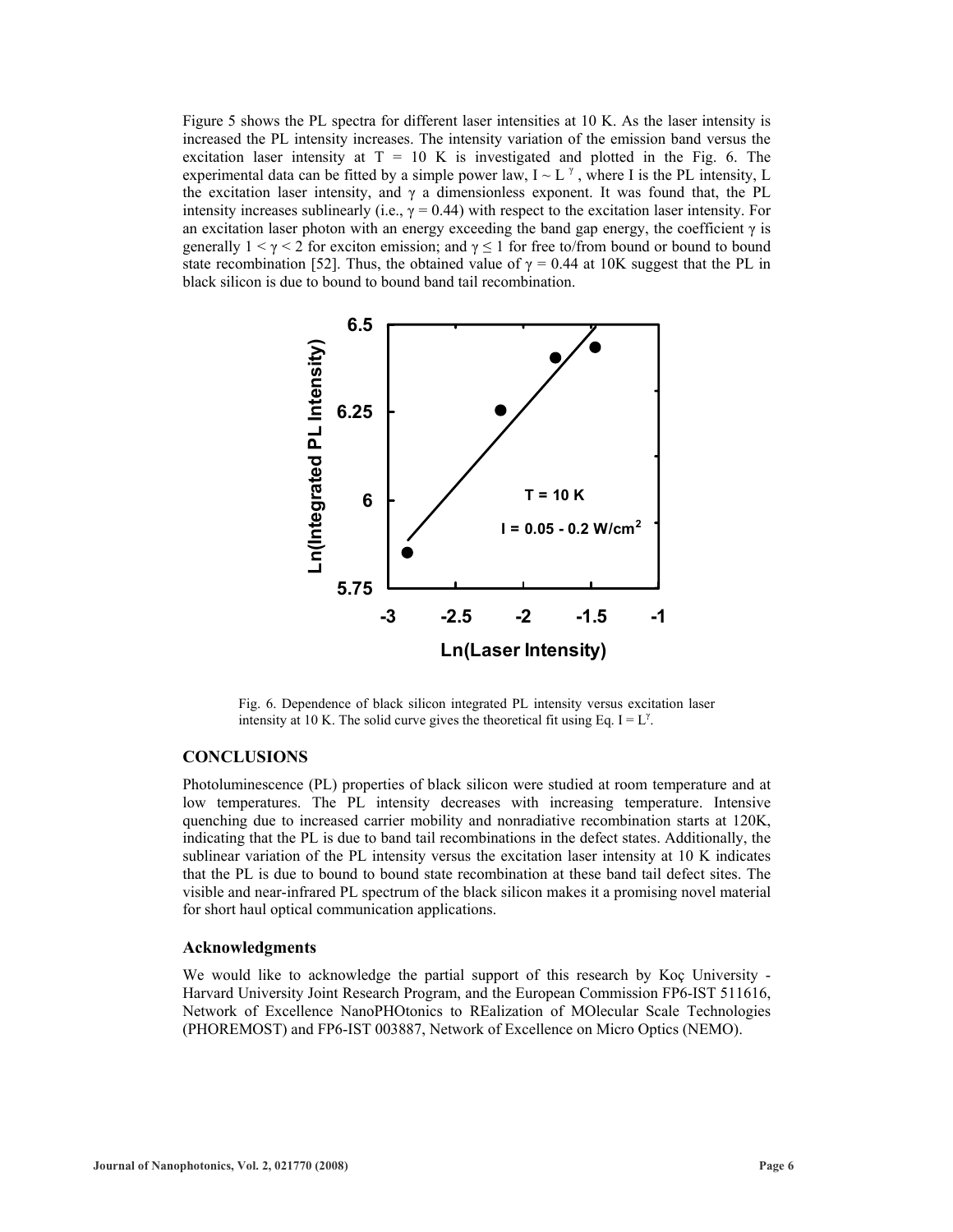Figure 5 shows the PL spectra for different laser intensities at 10 K. As the laser intensity is increased the PL intensity increases. The intensity variation of the emission band versus the excitation laser intensity at  $T = 10$  K is investigated and plotted in the Fig. 6. The experimental data can be fitted by a simple power law,  $I \sim L^{\gamma}$ , where I is the PL intensity, L the excitation laser intensity, and  $\gamma$  a dimensionless exponent. It was found that, the PL intensity increases sublinearly (i.e.,  $\gamma = 0.44$ ) with respect to the excitation laser intensity. For an excitation laser photon with an energy exceeding the band gap energy, the coefficient  $\gamma$  is generally  $1 \le \gamma \le 2$  for exciton emission; and  $\gamma \le 1$  for free to/from bound or bound to bound state recombination [\[52\]](#page-6-51). Thus, the obtained value of  $\gamma = 0.44$  at 10K suggest that the PL in black silicon is due to bound to bound band tail recombination.



Fig. 6. Dependence of black silicon integrated PL intensity versus excitation laser intensity at 10 K. The solid curve gives the theoretical fit using Eq. I =  $L^{\gamma}$ .

# **CONCLUSIONS**

Photoluminescence (PL) properties of black silicon were studied at room temperature and at low temperatures. The PL intensity decreases with increasing temperature. Intensive quenching due to increased carrier mobility and nonradiative recombination starts at 120K, indicating that the PL is due to band tail recombinations in the defect states. Additionally, the sublinear variation of the PL intensity versus the excitation laser intensity at 10 K indicates that the PL is due to bound to bound state recombination at these band tail defect sites. The visible and near-infrared PL spectrum of the black silicon makes it a promising novel material for short haul optical communication applications.

#### **Acknowledgments**

We would like to acknowledge the partial support of this research by Koç University - Harvard University Joint Research Program, and the European Commission FP6-IST 511616, Network of Excellence NanoPHOtonics to REalization of MOlecular Scale Technologies (PHOREMOST) and FP6-IST 003887, Network of Excellence on Micro Optics (NEMO).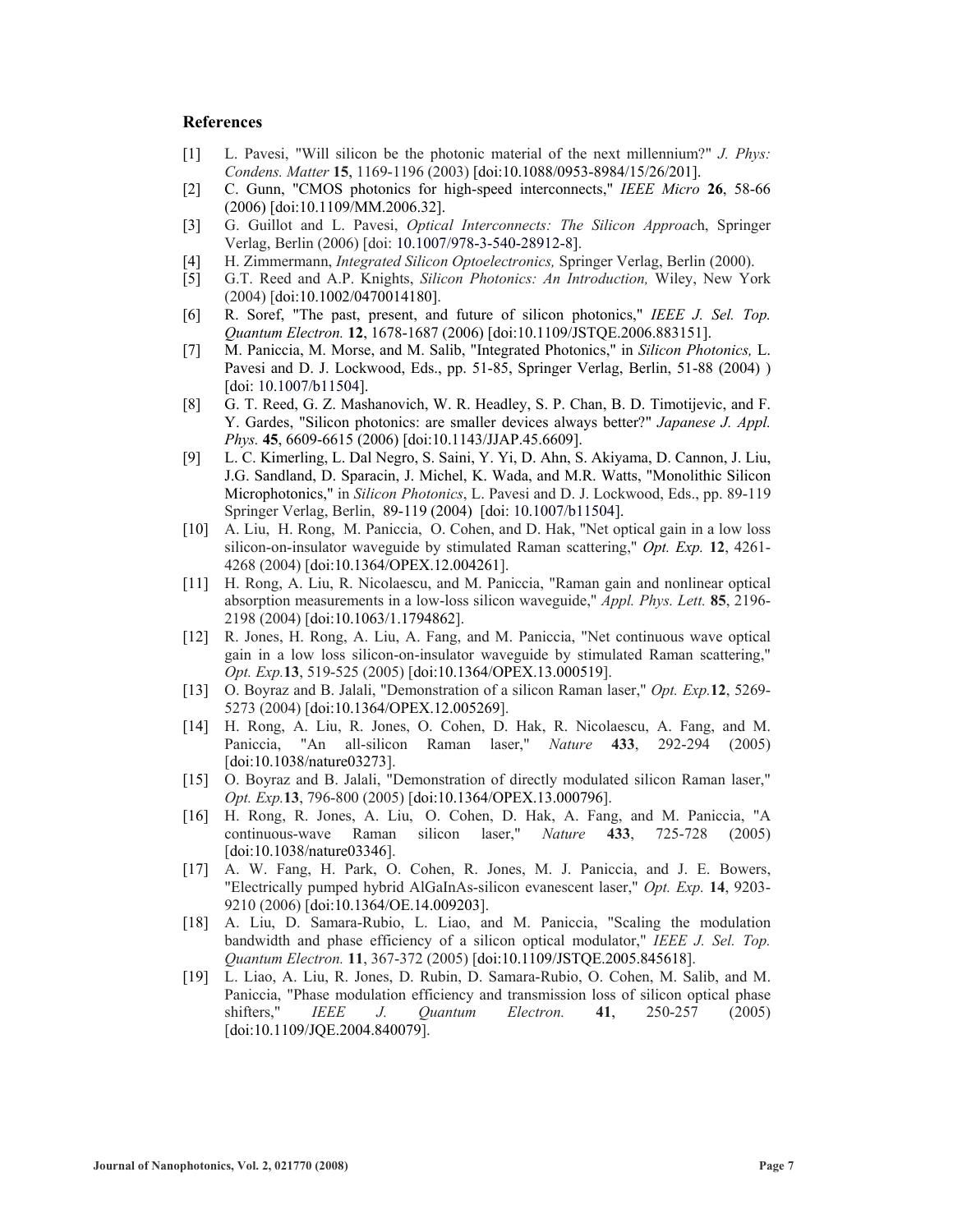#### <span id="page-6-37"></span><span id="page-6-19"></span>**References**

- <span id="page-6-0"></span>[1] L. Pavesi, "Will silicon be the photonic material of the next millennium?" *J. Phys: Condens. Matter* **15**, 1169-1196 (2003) [doi:10.1088/0953-8984/15/26/201].
- <span id="page-6-38"></span><span id="page-6-20"></span><span id="page-6-1"></span>[2] C. Gunn, "CMOS photonics for high-speed interconnects," *IEEE Micro* **26**, 58-66 (2006) [doi:10.1109/MM.2006.32].
- <span id="page-6-39"></span><span id="page-6-21"></span><span id="page-6-2"></span>[3] G. Guillot and L. Pavesi, *Optical Interconnects: The Silicon Approac*h, Springer Verlag, Berlin (2006) [doi: 10.1007/978-3-540-28912-8].
- <span id="page-6-3"></span>[4] H. Zimmermann, *Integrated Silicon Optoelectronics,* Springer Verlag, Berlin (2000).
- <span id="page-6-40"></span><span id="page-6-22"></span><span id="page-6-4"></span>[5] G.T. Reed and A.P. Knights, *Silicon Photonics: An Introduction,* Wiley, New York (2004) [doi:10.1002/0470014180].
- <span id="page-6-41"></span><span id="page-6-23"></span><span id="page-6-5"></span>[6] R. Soref, "The past, present, and future of silicon photonics," *IEEE J. Sel. Top. Quantum Electron.* **12**, 1678-1687 (2006) [doi:10.1109/JSTQE.2006.883151].
- <span id="page-6-42"></span><span id="page-6-24"></span><span id="page-6-6"></span>[7] M. Paniccia, M. Morse, and M. Salib, "Integrated Photonics," in *Silicon Photonics,* L. Pavesi and D. J. Lockwood, Eds., pp. 51-85, Springer Verlag, Berlin, 51-88 (2004) ) [doi: 10.1007/b11504].
- <span id="page-6-43"></span><span id="page-6-25"></span><span id="page-6-7"></span>[8] G. T. Reed, G. Z. Mashanovich, W. R. Headley, S. P. Chan, B. D. Timotijevic, and F. Y. Gardes, "Silicon photonics: are smaller devices always better?" *Japanese J. Appl. Phys.* **45**, 6609-6615 (2006) [doi:10.1143/JJAP.45.6609].
- <span id="page-6-44"></span><span id="page-6-27"></span><span id="page-6-26"></span><span id="page-6-8"></span>[9] L. C. Kimerling, L. Dal Negro, S. Saini, Y. Yi, D. Ahn, S. Akiyama, D. Cannon, J. Liu, J.G. Sandland, D. Sparacin, J. Michel, K. Wada, and M.R. Watts, "Monolithic Silicon Microphotonics," in *Silicon Photonics*, L. Pavesi and D. J. Lockwood, Eds., pp. 89-119 Springer Verlag, Berlin, 89-119 (2004) [doi: 10.1007/b11504].
- <span id="page-6-45"></span><span id="page-6-28"></span><span id="page-6-9"></span>[10] A. Liu, H. Rong, M. Paniccia, O. Cohen, and D. Hak, "Net optical gain in a low loss silicon-on-insulator waveguide by stimulated Raman scattering," *Opt. Exp.* **12**, 4261- 4268 (2004) [doi:10.1364/OPEX.12.004261].
- <span id="page-6-46"></span><span id="page-6-29"></span><span id="page-6-10"></span>[11] H. Rong, A. Liu, R. Nicolaescu, and M. Paniccia, "Raman gain and nonlinear optical absorption measurements in a low-loss silicon waveguide," *Appl. Phys. Lett.* **85**, 2196- 2198 (2004) [doi:10.1063/1.1794862].
- <span id="page-6-47"></span><span id="page-6-30"></span><span id="page-6-11"></span>[12] R. Jones, H. Rong, A. Liu, A. Fang, and M. Paniccia, "Net continuous wave optical gain in a low loss silicon-on-insulator waveguide by stimulated Raman scattering," *Opt. Exp.***13**, 519-525 (2005) [doi:10.1364/OPEX.13.000519].
- <span id="page-6-31"></span><span id="page-6-12"></span>[13] O. Boyraz and B. Jalali, "Demonstration of a silicon Raman laser," *Opt. Exp.***12**, 5269- 5273 (2004) [doi:10.1364/OPEX.12.005269].
- <span id="page-6-48"></span><span id="page-6-32"></span><span id="page-6-13"></span>[14] H. Rong, A. Liu, R. Jones, O. Cohen, D. Hak, R. Nicolaescu, A. Fang, and M. Paniccia, "An all-silicon Raman laser," *Nature* **433**, 292-294 (2005) [doi:10.1038/nature03273].
- <span id="page-6-49"></span><span id="page-6-33"></span><span id="page-6-14"></span>[15] O. Boyraz and B. Jalali, "Demonstration of directly modulated silicon Raman laser," *Opt. Exp.***13**, 796-800 (2005) [doi:10.1364/OPEX.13.000796].
- <span id="page-6-50"></span><span id="page-6-34"></span><span id="page-6-15"></span>[16] H. Rong, R. Jones, A. Liu, O. Cohen, D. Hak, A. Fang, and M. Paniccia, "A continuous-wave Raman silicon laser," *Nature* **433**, 725-728 (2005) [doi:10.1038/nature03346].
- <span id="page-6-51"></span><span id="page-6-16"></span>[17] A. W. Fang, H. Park, O. Cohen, R. Jones, M. J. Paniccia, and J. E. Bowers, "Electrically pumped hybrid AlGaInAs-silicon evanescent laser," *Opt. Exp.* **14**, 9203- 9210 (2006) [doi:10.1364/OE.14.009203].
- <span id="page-6-35"></span><span id="page-6-17"></span>[18] A. Liu, D. Samara-Rubio, L. Liao, and M. Paniccia, "Scaling the modulation bandwidth and phase efficiency of a silicon optical modulator," *IEEE J. Sel. Top. Quantum Electron.* **11**, 367-372 (2005) [doi:10.1109/JSTQE.2005.845618].
- <span id="page-6-36"></span><span id="page-6-18"></span>[19] L. Liao, A. Liu, R. Jones, D. Rubin, D. Samara-Rubio, O. Cohen, M. Salib, and M. Paniccia, "Phase modulation efficiency and transmission loss of silicon optical phase shifters," *IEEE J. Quantum Electron.* **41**, 250-257 (2005) [doi:10.1109/JQE.2004.840079].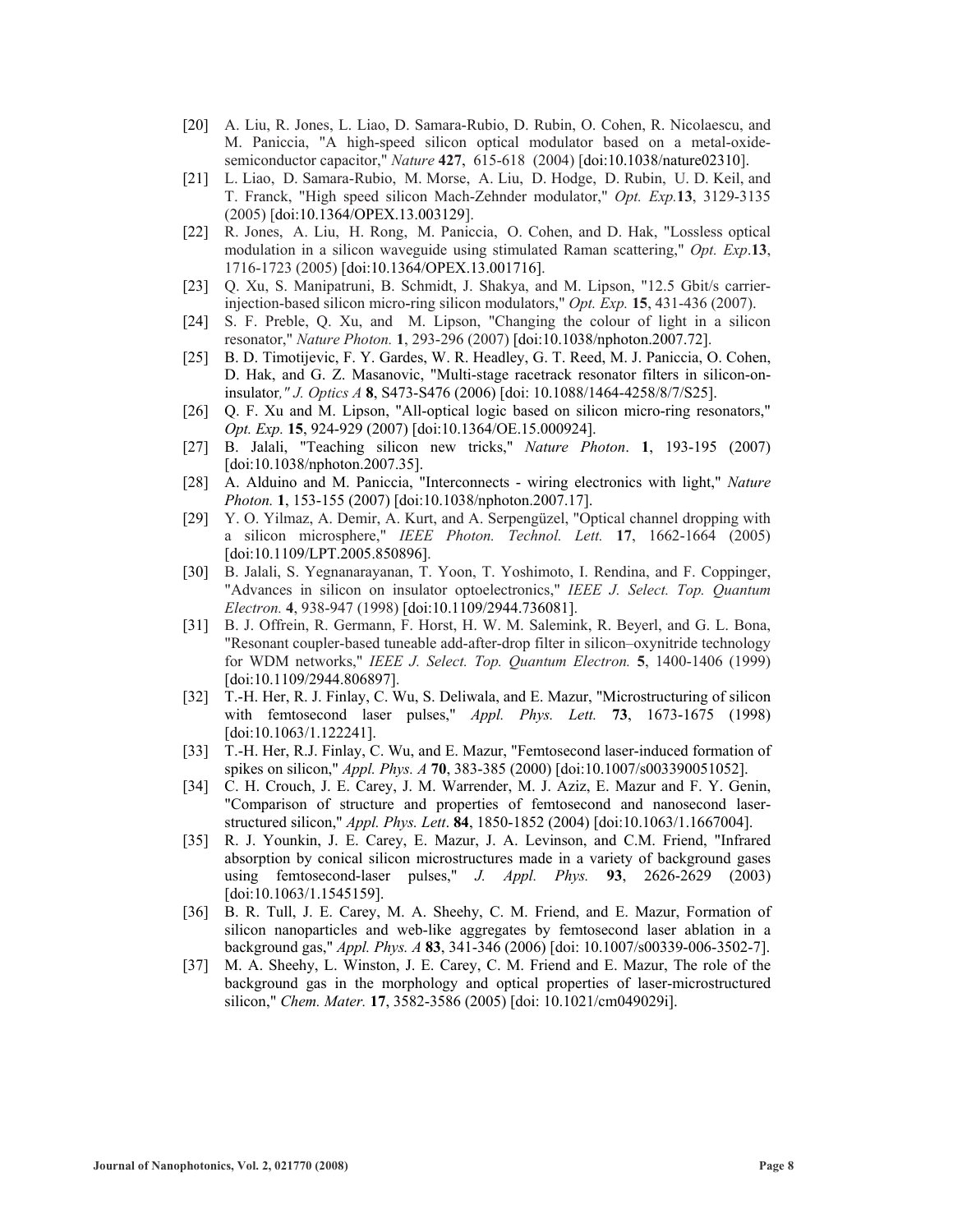- [20] A. Liu, R. Jones, L. Liao, D. Samara-Rubio, D. Rubin, O. Cohen, R. Nicolaescu, and M. Paniccia, "A high-speed silicon optical modulator based on a metal-oxidesemiconductor capacitor," *Nature* **427**, 615-618 (2004) [doi:10.1038/nature02310].
- [21] L. Liao, D. Samara-Rubio, M. Morse, A. Liu, D. Hodge, D. Rubin, U. D. Keil, and T. Franck, "High speed silicon Mach-Zehnder modulator," *Opt. Exp.***13**, 3129-3135 (2005) [doi:10.1364/OPEX.13.003129].
- [22] R. Jones, A. Liu, H. Rong, M. Paniccia, O. Cohen, and D. Hak, "Lossless optical modulation in a silicon waveguide using stimulated Raman scattering," *Opt. Exp*.**13**, 1716-1723 (2005) [doi:10.1364/OPEX.13.001716].
- [23] Q. Xu, S. Manipatruni, B. Schmidt, J. Shakya, and M. Lipson, "12.5 Gbit/s carrierinjection-based silicon micro-ring silicon modulators," *Opt. Exp.* **15**, 431-436 (2007).
- [24] S. F. Preble, Q. Xu, and M. Lipson, "Changing the colour of light in a silicon resonator," *Nature Photon.* **1**, 293-296 (2007) [doi:10.1038/nphoton.2007.72].
- [25] B. D. Timotijevic, F. Y. Gardes, W. R. Headley, G. T. Reed, M. J. Paniccia, O. Cohen, D. Hak, and G. Z. Masanovic, "Multi-stage racetrack resonator filters in silicon-oninsulator*," J. Optics A* **8**, S473-S476 (2006) [doi: 10.1088/1464-4258/8/7/S25].
- [26] Q. F. Xu and M. Lipson, "All-optical logic based on silicon micro-ring resonators," *Opt. Exp.* **15**, 924-929 (2007) [doi:10.1364/OE.15.000924].
- [27] B. Jalali, "Teaching silicon new tricks," *Nature Photon*. **1**, 193-195 (2007) [doi:10.1038/nphoton.2007.35].
- [28] A. Alduino and M. Paniccia, "Interconnects wiring electronics with light," *Nature Photon.* **1**, 153-155 (2007) [doi:10.1038/nphoton.2007.17].
- [29] Y. O. Yilmaz, A. Demir, A. Kurt, and A. Serpengüzel, "Optical channel dropping with a silicon microsphere," *IEEE Photon. Technol. Lett.* **17**, 1662-1664 (2005) [doi:10.1109/LPT.2005.850896].
- [30] B. Jalali, S. Yegnanarayanan, T. Yoon, T. Yoshimoto, I. Rendina, and F. Coppinger, "Advances in silicon on insulator optoelectronics," *IEEE J. Select. Top. Quantum Electron.* **4**, 938-947 (1998) [doi:10.1109/2944.736081].
- [31] B. J. Offrein, R. Germann, F. Horst, H. W. M. Salemink, R. Beyerl, and G. L. Bona, "Resonant coupler-based tuneable add-after-drop filter in silicon–oxynitride technology for WDM networks," *IEEE J. Select. Top. Quantum Electron.* **5**, 1400-1406 (1999) [doi:10.1109/2944.806897].
- [32] T.-H. Her, R. J. Finlay, C. Wu, S. Deliwala, and E. Mazur, "Microstructuring of silicon with femtosecond laser pulses," *Appl. Phys. Lett.* **73**, 1673-1675 (1998) [doi:10.1063/1.122241].
- [33] T.-H. Her, R.J. Finlay, C. Wu, and E. Mazur, "Femtosecond laser-induced formation of spikes on silicon," *Appl. Phys. A* **70**, 383-385 (2000) [doi:10.1007/s003390051052].
- [34] C. H. Crouch, J. E. Carey, J. M. Warrender, M. J. Aziz, E. Mazur and F. Y. Genin, "Comparison of structure and properties of femtosecond and nanosecond laserstructured silicon," *Appl. Phys. Lett*. **84**, 1850-1852 (2004) [doi:10.1063/1.1667004].
- [35] R. J. Younkin, J. E. Carey, E. Mazur, J. A. Levinson, and C.M. Friend, "Infrared absorption by conical silicon microstructures made in a variety of background gases using femtosecond-laser pulses," *J. Appl. Phys.* **93**, 2626-2629 (2003) [doi:10.1063/1.1545159].
- [36] B. R. Tull, J. E. Carey, M. A. Sheehy, C. M. Friend, and E. Mazur, Formation of silicon nanoparticles and web-like aggregates by femtosecond laser ablation in a background gas," *Appl. Phys. A* **83**, 341-346 (2006) [doi: 10.1007/s00339-006-3502-7].
- [37] M. A. Sheehy, L. Winston, J. E. Carey, C. M. Friend and E. Mazur, The role of the background gas in the morphology and optical properties of laser-microstructured silicon," *Chem. Mater.* **17**, 3582-3586 (2005) [doi: 10.1021/cm049029i].